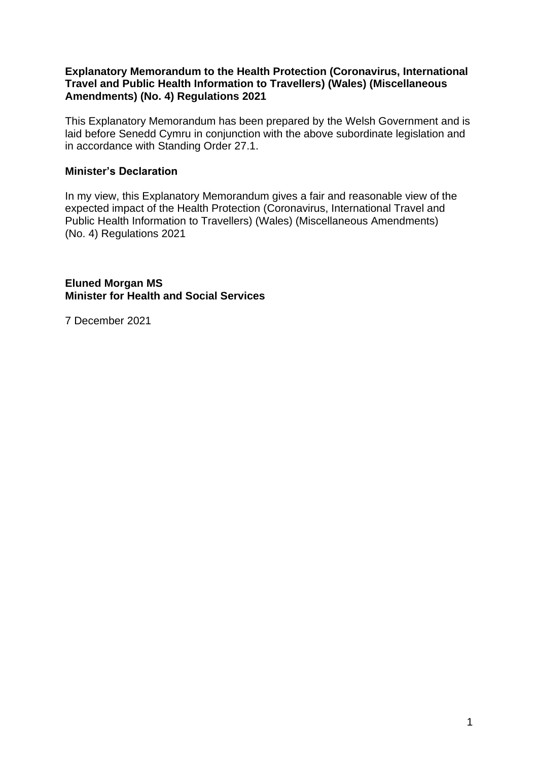#### **Explanatory Memorandum to the Health Protection (Coronavirus, International Travel and Public Health Information to Travellers) (Wales) (Miscellaneous Amendments) (No. 4) Regulations 2021**

This Explanatory Memorandum has been prepared by the Welsh Government and is laid before Senedd Cymru in conjunction with the above subordinate legislation and in accordance with Standing Order 27.1.

### **Minister's Declaration**

In my view, this Explanatory Memorandum gives a fair and reasonable view of the expected impact of the Health Protection (Coronavirus, International Travel and Public Health Information to Travellers) (Wales) (Miscellaneous Amendments) (No. 4) Regulations 2021

**Eluned Morgan MS Minister for Health and Social Services**

7 December 2021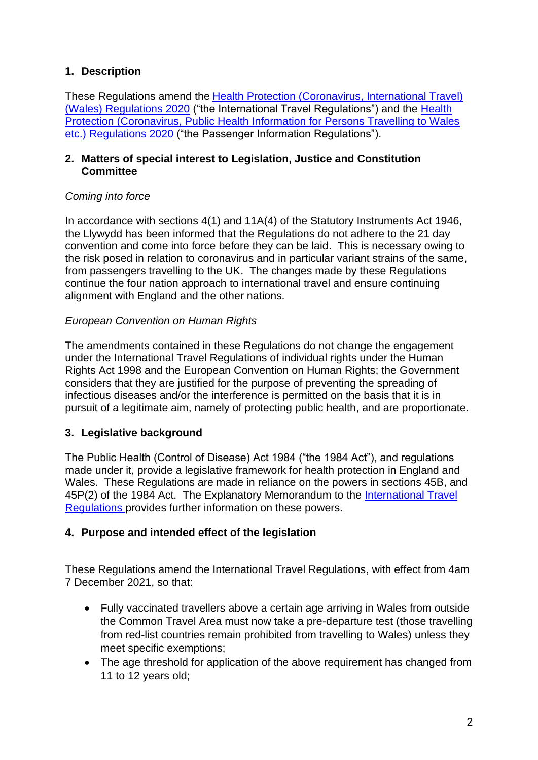## **1. Description**

These Regulations amend the [Health Protection \(Coronavirus, International Travel\)](https://www.legislation.gov.uk/wsi/2020/574/contents)  [\(Wales\) Regulations 2020](https://www.legislation.gov.uk/wsi/2020/574/contents) ("the International Travel Regulations") and the [Health](https://www.legislation.gov.uk/wsi/2020/595/contents)  [Protection \(Coronavirus, Public Health Information for Persons Travelling to Wales](https://www.legislation.gov.uk/wsi/2020/595/contents)  [etc.\) Regulations 2020](https://www.legislation.gov.uk/wsi/2020/595/contents) ("the Passenger Information Regulations").

### **2. Matters of special interest to Legislation, Justice and Constitution Committee**

## *Coming into force*

In accordance with sections 4(1) and 11A(4) of the Statutory Instruments Act 1946, the Llywydd has been informed that the Regulations do not adhere to the 21 day convention and come into force before they can be laid. This is necessary owing to the risk posed in relation to coronavirus and in particular variant strains of the same, from passengers travelling to the UK. The changes made by these Regulations continue the four nation approach to international travel and ensure continuing alignment with England and the other nations.

## *European Convention on Human Rights*

The amendments contained in these Regulations do not change the engagement under the International Travel Regulations of individual rights under the Human Rights Act 1998 and the European Convention on Human Rights; the Government considers that they are justified for the purpose of preventing the spreading of infectious diseases and/or the interference is permitted on the basis that it is in pursuit of a legitimate aim, namely of protecting public health, and are proportionate.

# **3. Legislative background**

The Public Health (Control of Disease) Act 1984 ("the 1984 Act"), and regulations made under it, provide a legislative framework for health protection in England and Wales. These Regulations are made in reliance on the powers in sections 45B, and 45P(2) of the 1984 Act. The Explanatory Memorandum to the [International Travel](https://business.senedd.wales/documents/s101833/EM%20SL5556%20-%20The%20Health%20Protection%20Coronavirus%20International%20Travel%20Wales%20Regulations%202020.pdf)  [Regulations](https://business.senedd.wales/documents/s101833/EM%20SL5556%20-%20The%20Health%20Protection%20Coronavirus%20International%20Travel%20Wales%20Regulations%202020.pdf) provides further information on these powers.

## **4. Purpose and intended effect of the legislation**

These Regulations amend the International Travel Regulations, with effect from 4am 7 December 2021, so that:

- Fully vaccinated travellers above a certain age arriving in Wales from outside the Common Travel Area must now take a pre-departure test (those travelling from red-list countries remain prohibited from travelling to Wales) unless they meet specific exemptions;
- The age threshold for application of the above requirement has changed from 11 to 12 years old;